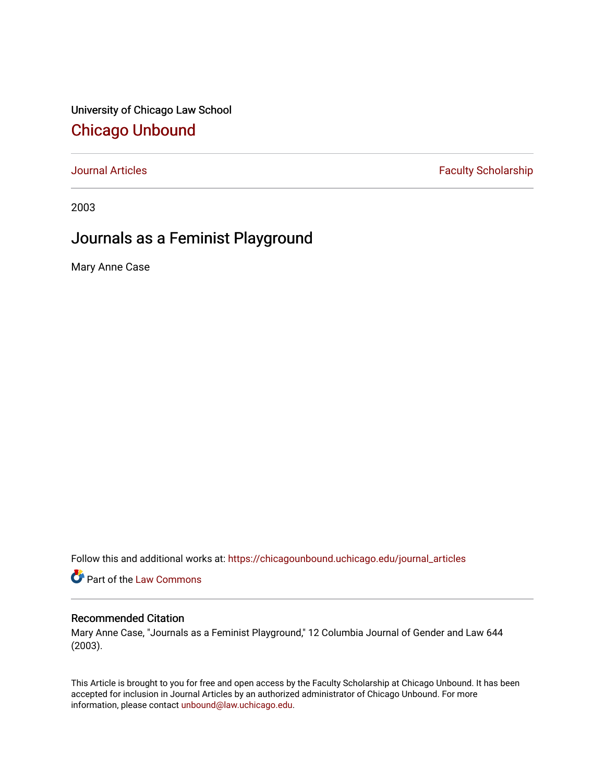University of Chicago Law School [Chicago Unbound](https://chicagounbound.uchicago.edu/)

[Journal Articles](https://chicagounbound.uchicago.edu/journal_articles) **Faculty Scholarship Faculty Scholarship** 

2003

## Journals as a Feminist Playground

Mary Anne Case

Follow this and additional works at: [https://chicagounbound.uchicago.edu/journal\\_articles](https://chicagounbound.uchicago.edu/journal_articles?utm_source=chicagounbound.uchicago.edu%2Fjournal_articles%2F1111&utm_medium=PDF&utm_campaign=PDFCoverPages) 

Part of the [Law Commons](http://network.bepress.com/hgg/discipline/578?utm_source=chicagounbound.uchicago.edu%2Fjournal_articles%2F1111&utm_medium=PDF&utm_campaign=PDFCoverPages)

## Recommended Citation

Mary Anne Case, "Journals as a Feminist Playground," 12 Columbia Journal of Gender and Law 644 (2003).

This Article is brought to you for free and open access by the Faculty Scholarship at Chicago Unbound. It has been accepted for inclusion in Journal Articles by an authorized administrator of Chicago Unbound. For more information, please contact [unbound@law.uchicago.edu](mailto:unbound@law.uchicago.edu).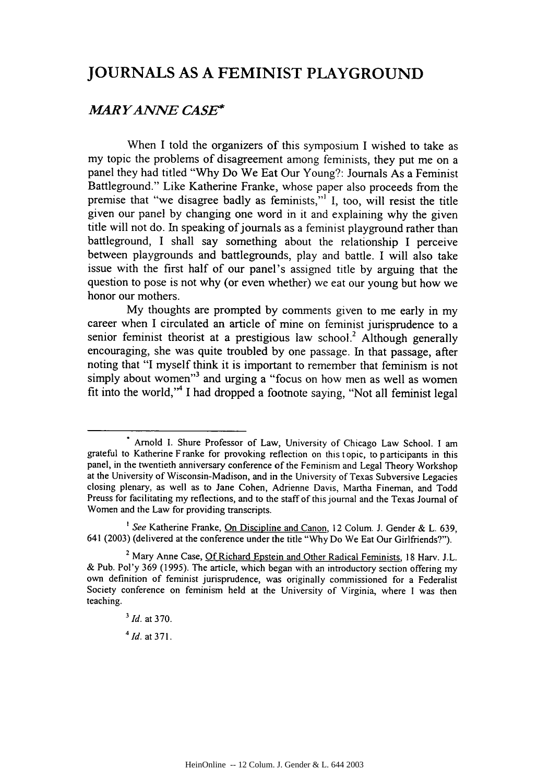## **JOURNALS AS A FEMINIST PLAYGROUND**

## *MAR YANNE CASE\**

When **I** told the organizers of this symposium **I** wished to take as my topic the problems of disagreement among feminists, they put me on a panel they had titled **"Why** Do We Eat Our Young?: Journals As a Feminist Battleground." Like Katherine Franke, whose paper also proceeds from the premise that "we disagree badly as feminists,"' **I,** too, will resist the title given our panel **by** changing one word in it and explaining why the given title will not do. In speaking of journals as a feminist playground rather than battleground, **I** shall say something about the relationship I perceive between playgrounds and battlegrounds, play and battle. **I** will also take issue with the first half of our panel's assigned title **by** arguing that the question to pose is not why (or even whether) we eat our young but how we honor our mothers.

**My** thoughts are prompted **by** comments given to me early in my career when **I** circulated an article of mine on feminist jurisprudence to a senior feminist theorist at a prestigious law school.<sup>2</sup> Although generally encouraging, she was quite troubled **by** one passage. In that passage, after noting that **"I** myself think it is important to remember that feminism is not simply about women"<sup>3</sup> and urging a "focus on how men as well as women fit into the world,"<sup>4</sup> I had dropped a footnote saying, "Not all feminist legal

*3Id.* at **370.**

*4Id.* at **371.**

<sup>&</sup>lt;sup>\*</sup> Arnold I. Shure Professor of Law, University of Chicago Law School. I am grateful to Katherine Franke for provoking reflection on this topic, to participants in this panel, in the twentieth anniversary conference of the Feminism and Legal Theory Workshop at the University of Wisconsin-Madison, and in the University of Texas Subversive Legacies closing plenary, as well as to Jane Cohen, Adrienne Davis, Martha Fineman, and Todd Preuss for facilitating my reflections, and to the staff of this journal and the Texas Journal of Women and the Law for providing transcripts.

*<sup>&#</sup>x27;See* Katherine Franke, On Discipline and Canon, 12 Colum. **J.** Gender **&** L. **639,** 641 **(2003)** (delivered at the conference under the title **"Why** Do We Eat Our Girlfriends?").

<sup>2</sup> Mary Anne Case, **Of** Richard Epstein and Other Radical Feminists, **18** Harv. **J.L. &** Pub. Pol'y **369 (1995).** The article, which began with an introductory section offering my own definition of feminist jurisprudence, was originally commissioned for a Federalist Society conference on feminism held at the University of Virginia, where **I** was then teaching.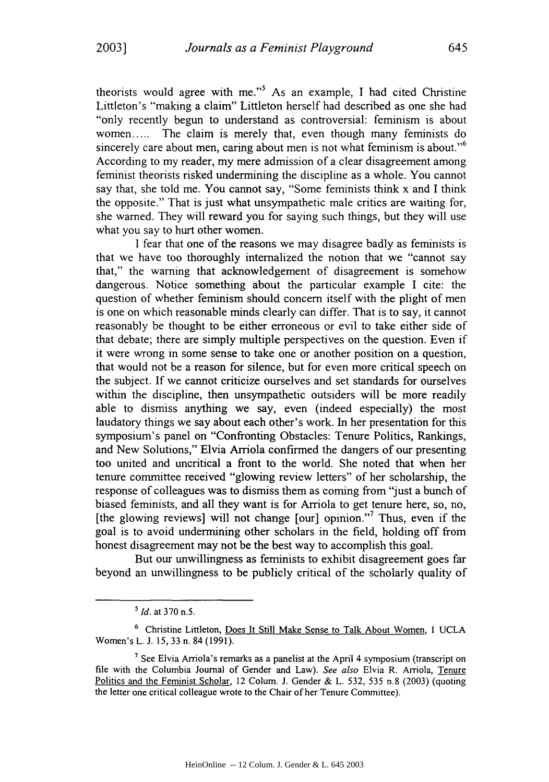theorists would agree with me."<sup>5</sup> As an example, I had cited Christine Littleton's "making a claim" Littleton herself had described as one she had "only recently begun to understand as controversial: feminism is about women..... The claim is merely that, even though many feminists do sincerely care about men, caring about men is not what feminism is about."<sup>6</sup> According to my reader, my mere admission of a clear disagreement among feminist theorists risked undermining the discipline as a whole. You cannot say that, she told me. You cannot say, "Some feminists think x and I think the opposite." That is just what unsympathetic male critics are waiting for, she warned. They will reward you for saying such things, but they will use what you say to hurt other women.

I fear that one of the reasons we may disagree badly as feminists is that we have too thoroughly internalized the notion that we "cannot say that," the warning that acknowledgement of disagreement is somehow dangerous. Notice something about the particular example I cite: the question of whether feminism should concern itself with the plight of men is one on which reasonable minds clearly can differ. That is to say, it cannot reasonably be thought to be either erroneous or evil to take either side of that debate; there are simply multiple perspectives on the question. Even if it were wrong in some sense to take one or another position on a question, that would not be a reason for silence, but for even more critical speech on the subject. If we cannot criticize ourselves and set standards for ourselves within the discipline, then unsympathetic outsiders will be more readily able to dismiss anything we say, even (indeed especially) the most laudatory things we say about each other's work. In her presentation for this symposium's panel on "Confronting Obstacles: Tenure Politics, Rankings, and New Solutions," Elvia Arriola confirmed the dangers of our presenting too united and uncritical a front to the world. She noted that when her tenure committee received "glowing review letters" of her scholarship, the response of colleagues was to dismiss them as coming from "just a bunch of biased feminists, and all they want is for Arriola to get tenure here, so, no, [the glowing reviews] will not change  $\lceil \text{our} \rceil$  opinion."<sup>7</sup> Thus, even if the goal is to avoid undermining other scholars in the field, holding off from honest disagreement may not be the best way to accomplish this goal.

But our unwillingness as feminists to exhibit disagreement goes far beyond an unwillingness to be publicly critical of the scholarly quality of

*<sup>5</sup>Id.* at 370 n.5.

<sup>&</sup>lt;sup>6</sup> Christine Littleton, Does It Still Make Sense to Talk About Women, 1 UCLA Women's L. **J.** 15, 33 n. 84 (1991).

**<sup>7</sup>**See Elvia Arriola's remarks as a panelist at the April 4 symposium (transcript on file with the Columbia Journal of Gender and Law). *See also* Elvia R. Arriola, Tenure Politics and the Feminist Scholar, 12 Colum. J. Gender & L. 532, 535 n.8 (2003) (quoting the letter one critical colleague wrote to the Chair of her Tenure Committee).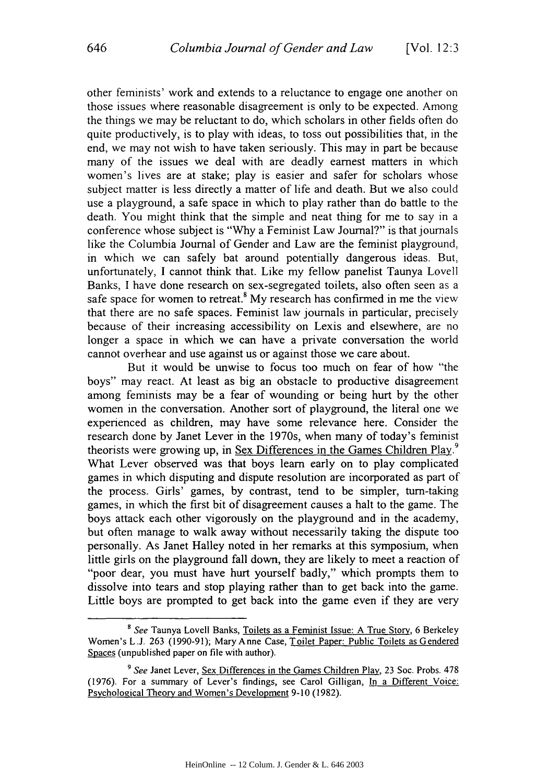other feminists' work and extends to a reluctance to engage one another on those issues where reasonable disagreement is only to be expected. Among the things we may be reluctant to do, which scholars in other fields often do quite productively, is to play with ideas, to toss out possibilities that, in the end, we may not wish to have taken seriously. This may in part be because many of the issues we deal with are deadly earnest matters in which women's lives are at stake; play is easier and safer for scholars whose subject matter is less directly a matter of life and death. But we also could use a playground, a safe space in which to play rather than do battle to the death. You might think that the simple and neat thing for me to say in a conference whose subject is "Why a Feminist Law Journal?" is that journals like the Columbia Journal of Gender and Law are the feminist playground, in which we can safely bat around potentially dangerous ideas. But, unfortunately, I cannot think that. Like my fellow panelist Taunya Lovell Banks, I have done research on sex-segregated toilets, also often seen as a safe space for women to retreat.<sup>8</sup> My research has confirmed in me the view that there are no safe spaces. Feminist law journals in particular, precisely because of their increasing accessibility on Lexis and elsewhere, are no longer a space in which we can have a private conversation the world cannot overhear and use against us or against those we care about.

But it would be unwise to focus too much on fear of how "the boys" may react. At least as big an obstacle to productive disagreement among feminists may be a fear of wounding or being hurt by the other women in the conversation. Another sort of playground, the literal one we experienced as children, may have some relevance here. Consider the research done by Janet Lever in the 1970s, when many of today's feminist theorists were growing up, in Sex Differences in the Games Children Play.<sup>9</sup> What Lever observed was that boys learn early on to play complicated games in which disputing and dispute resolution are incorporated as part of the process. Girls' games, by contrast, tend to be simpler, turn-taking games, in which the first bit of disagreement causes a halt to the game. The boys attack each other vigorously on the playground and in the academy, but often manage to walk away without necessarily taking the dispute too personally. As Janet Halley noted in her remarks at this symposium, when little girls on the playground fall down, they are likely to meet a reaction of "poor dear, you must have hurt yourself badly," which prompts them to dissolve into tears and stop playing rather than to get back into the game. Little boys are prompted to get back into the game even if they are very

**<sup>8</sup>** See Taunya Lovell Banks, Toilets as a Feminist Issue: A True Story, 6 Berkeley Women's L.J. 263 (1990-91); Mary Anne Case, Toilet Paper: Public Toilets as Gendered Spaces (unpublished paper on file with author).

*<sup>9</sup>* See Janet Lever, Sex Differences in the Games Children Play, 23 Soc. Probs. 478 (1976). For a summary of Lever's findings, see Carol Gilligan, In a Different Voice: Psychological Theory and Women's Development 9-10 (1982).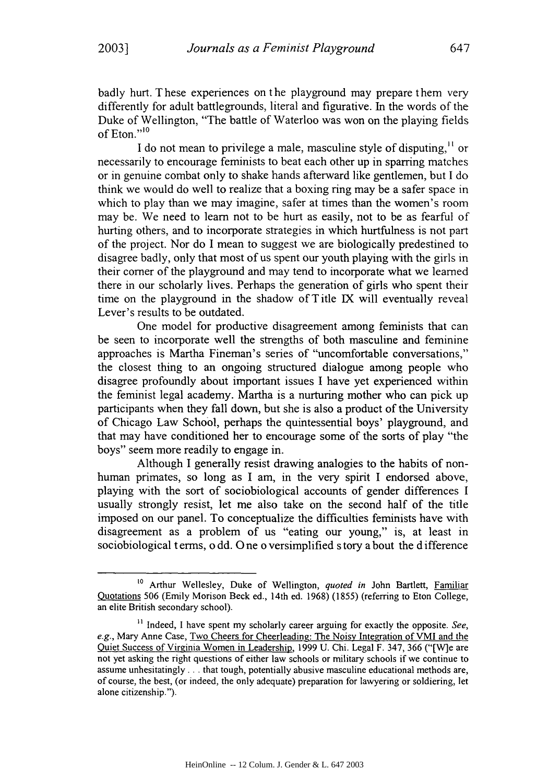badly hurt. These experiences on the playground may prepare them very differently for adult battlegrounds, literal and figurative. In the words of the Duke of Wellington, "The battle of Waterloo was won on the playing fields of Eton."<sup>10</sup>

I do not mean to privilege a male, masculine style of disputing,<sup>11</sup> or necessarily to encourage feminists to beat each other up in sparring matches or in genuine combat only to shake hands afterward like gentlemen, but I do think we would do well to realize that a boxing ring may be a safer space in which to play than we may imagine, safer at times than the women's room may be. We need to learn not to be hurt as easily, not to be as fearful of hurting others, and to incorporate strategies in which hurtfulness is not part of the project. Nor do I mean to suggest we are biologically predestined to disagree badly, only that most of us spent our youth playing with the girls in their corner of the playground and may tend to incorporate what we learned there in our scholarly lives. Perhaps the generation of girls who spent their time on the playground in the shadow of Title IX will eventually reveal Lever's results to be outdated.

One model for productive disagreement among feminists that can be seen to incorporate well the strengths of both masculine and feminine approaches is Martha Fineman's series of "uncomfortable conversations," the closest thing to an ongoing structured dialogue among people who disagree profoundly about important issues I have yet experienced within the feminist legal academy. Martha is a nurturing mother who can pick up participants when they fall down, but she is also a product of the University of Chicago Law School, perhaps the quintessential boys' playground, and that may have conditioned her to encourage some of the sorts of play "the boys" seem more readily to engage in.

Although I generally resist drawing analogies to the habits of nonhuman primates, so long as I am, in the very spirit I endorsed above, playing with the sort of sociobiological accounts of gender differences I usually strongly resist, let me also take on the second half of the title imposed on our panel. To conceptualize the difficulties feminists have with disagreement as a problem of us "eating our young," is, at least in sociobiological terms, o dd. One o versimplified s tory a bout the difference

<sup>&</sup>lt;sup>10</sup> Arthur Wellesley, Duke of Wellington, *quoted in John Bartlett*, Familiar Quotations 506 (Emily Morison Beck ed., 14th ed. 1968) (1855) (referring to Eton College, an elite British secondary school).

<sup>&</sup>lt;sup>11</sup> Indeed, I have spent my scholarly career arguing for exactly the opposite. See, *e.g.,* Mary Anne Case, Two Cheers for Cheerleading: The Noisy Integration of VMI and the Quiet Success of Virginia Women in Leadership, 1999 U. Chi. Legal F. 347, 366 ("[W]e are not yet asking the right questions of either law schools or military schools if we continue to assume unhesitatingly. **. .** that tough, potentially abusive masculine educational methods are, of course, the best, (or indeed, the only adequate) preparation for lawyering or soldiering, let alone citizenship.").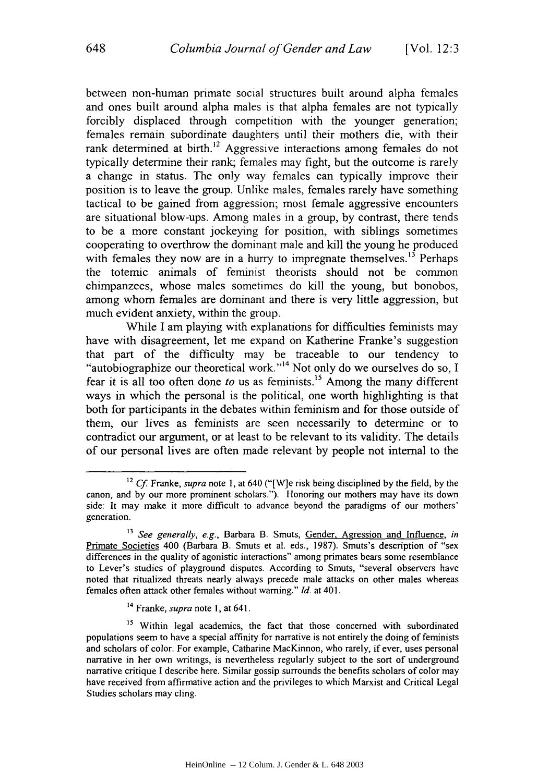between non-human primate social structures built around alpha females and ones built around alpha males is that alpha females are not typically forcibly displaced through competition with the younger generation; females remain subordinate daughters until their mothers die, with their rank determined at birth.<sup>12</sup> Aggressive interactions among females do not typically determine their rank; females may fight, but the outcome is rarely a change in status. The only way females can typically improve their position is to leave the group. Unlike males, females rarely have something tactical to be gained from aggression; most female aggressive encounters are situational blow-ups. Among males in a group, by contrast, there tends to be a more constant jockeying for position, with siblings sometimes cooperating to overthrow the dominant male and kill the young he produced with females they now are in a hurry to impregnate themselves.<sup>13</sup> Perhaps the totemic animals of feminist theorists should not be common chimpanzees, whose males sometimes do kill the young, but bonobos, among whom females are dominant and there is very little aggression, but much evident anxiety, within the group.

While I am playing with explanations for difficulties feminists may have with disagreement, let me expand on Katherine Franke's suggestion that part of the difficulty may be traceable to our tendency to "autobiographize our theoretical work."<sup>14</sup> Not only do we ourselves do so, I fear it is all too often done *to* us as feminists."' Among the many different ways in which the personal is the political, one worth highlighting is that both for participants in the debates within feminism and for those outside of them, our lives as feminists are seen necessarily to determine or to contradict our argument, or at least to be relevant to its validity. The details of our personal lives are often made relevant by people not internal to the

**14** Franke, *supra* note I, at 641.

**<sup>12</sup>**Cf Franke, *supra* note 1, at 640 ("[W]e risk being disciplined by the field, by the canon, and by our more prominent scholars."). Honoring our mothers may have its down side: It may make it more difficult to advance beyond the paradigms of our mothers' generation.

**<sup>13</sup>** *See generally, e.g.,* Barbara B. Smuts, Gender, Agression and Influence, *in* Primate Societies 400 (Barbara B. Smuts et al. eds., 1987). Smuts's description of "sex differences in the quality of agonistic interactions" among primates bears some resemblance to Lever's studies of playground disputes. According to Smuts, "several observers have noted that ritualized threats nearly always precede male attacks on other males whereas females often attack other females without warning." *Id.* at 401.

<sup>&</sup>lt;sup>15</sup> Within legal academics, the fact that those concerned with subordinated populations seem to have a special affinity for narrative is not entirely the doing of feminists and scholars of color. For example, Catharine MacKinnon, who rarely, if ever, uses personal narrative in her own writings, is nevertheless regularly subject to the sort of underground narrative critique **I** describe here. Similar gossip surrounds the benefits scholars of color may have received from affirmative action and the privileges to which Marxist and Critical Legal Studies scholars may cling,